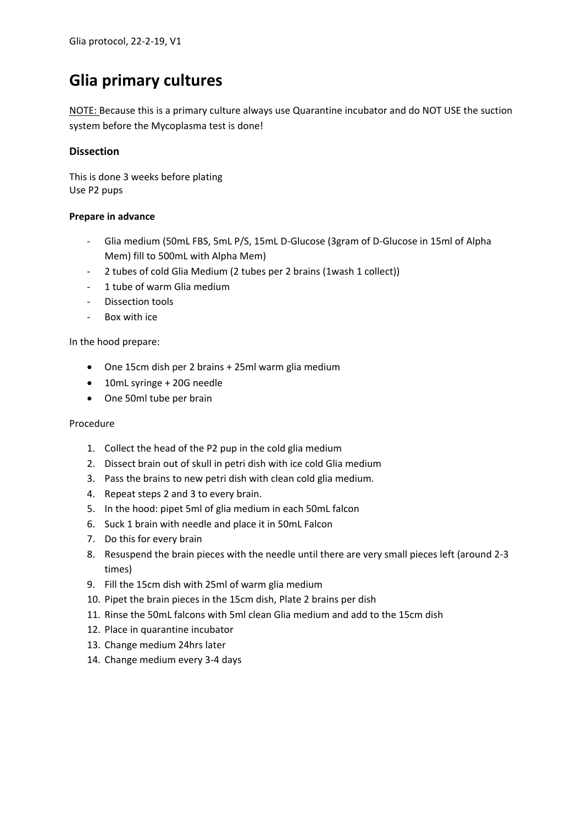# **Glia primary cultures**

NOTE: Because this is a primary culture always use Quarantine incubator and do NOT USE the suction system before the Mycoplasma test is done!

## **Dissection**

This is done 3 weeks before plating Use P2 pups

### **Prepare in advance**

- Glia medium (50mL FBS, 5mL P/S, 15mL D-Glucose (3gram of D-Glucose in 15ml of Alpha Mem) fill to 500mL with Alpha Mem)
- 2 tubes of cold Glia Medium (2 tubes per 2 brains (1wash 1 collect))
- 1 tube of warm Glia medium
- Dissection tools
- Box with ice

In the hood prepare:

- One 15cm dish per 2 brains + 25ml warm glia medium
- 10mL syringe + 20G needle
- One 50ml tube per brain

#### Procedure

- 1. Collect the head of the P2 pup in the cold glia medium
- 2. Dissect brain out of skull in petri dish with ice cold Glia medium
- 3. Pass the brains to new petri dish with clean cold glia medium.
- 4. Repeat steps 2 and 3 to every brain.
- 5. In the hood: pipet 5ml of glia medium in each 50mL falcon
- 6. Suck 1 brain with needle and place it in 50mL Falcon
- 7. Do this for every brain
- 8. Resuspend the brain pieces with the needle until there are very small pieces left (around 2-3 times)
- 9. Fill the 15cm dish with 25ml of warm glia medium
- 10. Pipet the brain pieces in the 15cm dish, Plate 2 brains per dish
- 11. Rinse the 50mL falcons with 5ml clean Glia medium and add to the 15cm dish
- 12. Place in quarantine incubator
- 13. Change medium 24hrs later
- 14. Change medium every 3-4 days